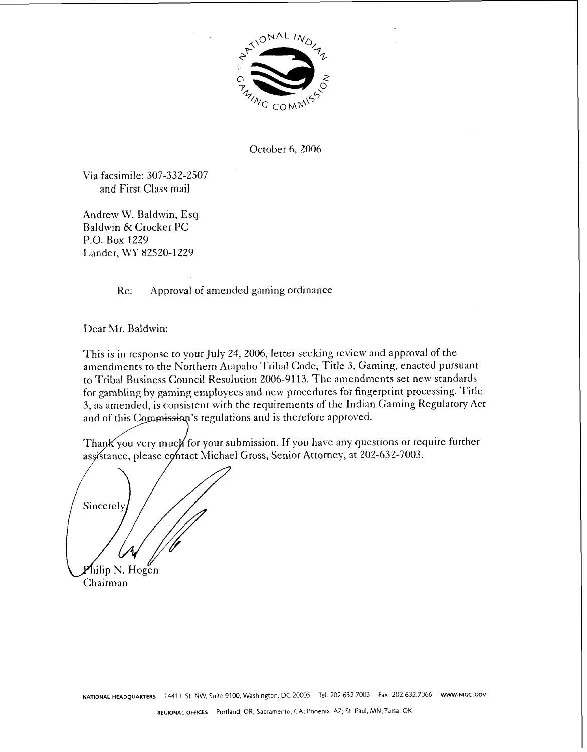

October 6, 2006

Via facsimile: 307-332-2507 and First Class mail

Andrew W. Baldwin, Esq. Baldwin & Crocker PC P.O. Box 1229 Lander, WY 82520-1229

Re: Approval of amended gaming ordinance

Dear Mr. Baldwin:

This is in response to your July 24, 2006, letter seeking review and approval of the amendments to the Northern Arapaho Tribal Code, Title 3, Gaming, enacted pursuant to Tribal Business Council Resolution 2006-91 13. The amendments set new standards for gambling by gaming employees and new procedures for fingerprint processing. Title **3,** as amended, is consistent with the requirements of the Indian Gaming Regulatory Act and of this Commission's regulations and is therefore approved.

Thank you very much for your submission. If you have any questions or require further assistance, please contact Michael Gross, Senior Attorney, at 202-632-7003.

Sincerely hilip N. Hogen Chairman

**NATIONAL HEADQUARTERS** 1441 L St. NW, Suite 9100, Washington, DC 20005 Tel: 202.632.7003 Fax: 202.632.7066 www.NIGC.GOV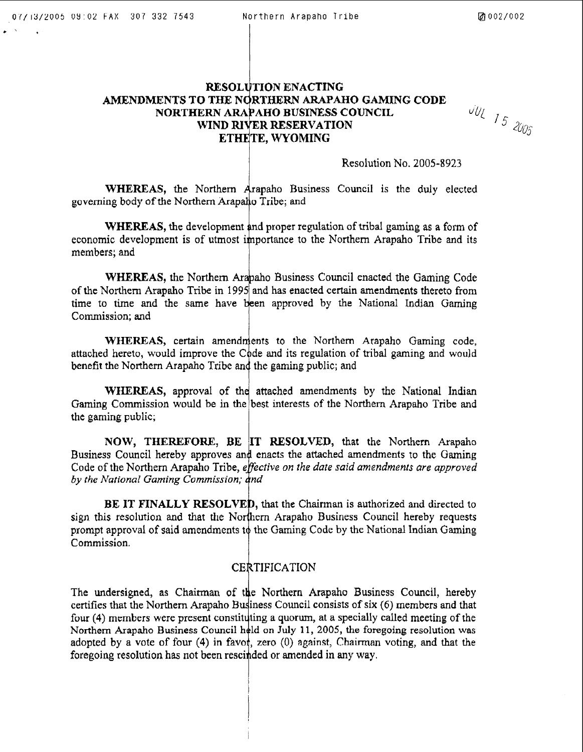## **RESOLUTION ENACTING AMENDMENTS TO ARAPAHO GAMING CODE**  WIND RIVER RESERVATION ETHETE, WYOMING

 $JU$  15 2005

## Resolution No. 2005-8923

**WHEREAS, the Northern Arapaho Business Council is the duly elected** governing body of the Northern Arapaho Tribe; and

WHEREAS, the development and proper regulation of tribal gaming as a form of economic development is of utmost importance to the Northern Arapaho Tribe and its members; and for the state of the state of the state of the state of the state of the state of the state of the state of the state of the s

WHEREAS, the Northern Arapaho Business Council enacted the Gaming Code of the Northern Arapaho Tribe in 1995 and has enacted certain amendments thereto from time to time and the same have been approved by the National Indian Gaming Commission; and

WHEREAS, certain amendments to the Northern Arapaho Gaming code, attached hereto, would improve the Code and its regulation of tribal gaming and would benefit the Northern **Arapaho** Tribe **an** 1 **the** gaming **public; and** 

WHEREAS, approval of the attached amendments by the National Indian Gaming Commission would be **in** best interests of the Northern **Arapaho** Tribe **and the gaming public;** 

**NOW, THEREFORE, BE IT RESOLVED, that the Northern Arapaho** Business Council hereby approves and enacts the attached amendments to the Gaming Code of the Northern Arapaho Tribe, *effective on the date said amendments are approved by the Arational Gaming* 

BE IT FINALLY RESOLVED, that the Chairman is authorized and directed to sign this resolution and that the Northern Arapaho Business Council hereby requests prompt approval of said amendments to the Gaming Code by the National Indian Gaming Commission.

## CERTIFICATION

The undersigned, as Chairman of the Northern Arapaho Business Council, hereby certifies that the Northern Arapaho Council consists of **six** (6) members and that four (4) members were present constituting a quorum, at a specially called meeting of the Northern Arapaho Business Council held on July 11, 2005, the foregoing resolution was adopted by a vote of four (4) in favor, zero (0) against, Chairman voting, and that the foregoing resolution has not been rescinded or amended in any way.